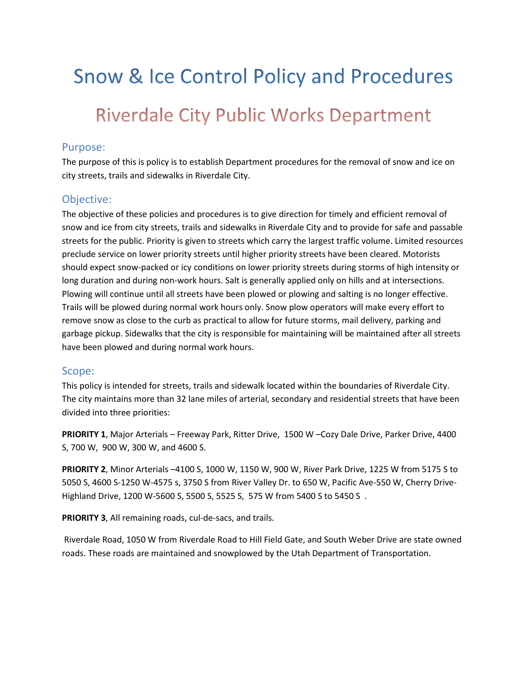# **Snow & Ice Control Policy and Procedures Riverdale City Public Works Department**

#### Purpose:

The purpose of this is policy is to establish Department procedures for the removal of snow and ice on city streets, trails and sidewalks in Riverdale City.

#### Objective:

The objective of these policies and procedures is to give direction for timely and efficient removal of snow and ice from city streets, trails and sidewalks in Riverdale City and to provide for safe and passable streets for the public. Priority is given to streets which carry the largest traffic volume. Limited resources preclude service on lower priority streets until higher priority streets have been cleared. Motorists should expect snow-packed or icy conditions on lower priority streets during storms of high intensity or long duration and during non-work hours. Salt is generally applied only on hills and at intersections. Plowing will continue until all streets have been plowed or plowing and salting is no longer effective. Trails will be plowed during normal work hours only. Snow plow operators will make every effort to remove snow as close to the curb as practical to allow for future storms, mail delivery, parking and garbage pickup. Sidewalks that the city is responsible for maintaining will be maintained after all streets have been plowed and during normal work hours.

#### Scope:

This policy is intended for streets, trails and sidewalk located within the boundaries of Riverdale City. The city maintains more than 32 lane miles of arterial, secondary and residential streets that have been divided into three priorities:

PRIORITY 1, Major Arterials - Freeway Park, Ritter Drive, 1500 W - Cozy Dale Drive, Parker Drive, 4400 S, 700 W, 900 W, 300 W, and 4600 S.

PRIORITY 2, Minor Arterials –4100 S, 1000 W, 1150 W, 900 W, River Park Drive, 1225 W from 5175 S to 5050 S, 4600 S-1250 W-4575 s, 3750 S from River Valley Dr. to 650 W, Pacific Ave-550 W, Cherry Drive-Highland Drive, 1200 W-5600 S, 5500 S, 5525 S, 575 W from 5400 S to 5450 S .

PRIORITY 3, All remaining roads, cul-de-sacs, and trails.

 Riverdale Road, 1050 W from Riverdale Road to Hill Field Gate, and South Weber Drive are state owned roads. These roads are maintained and snowplowed by the Utah Department of Transportation.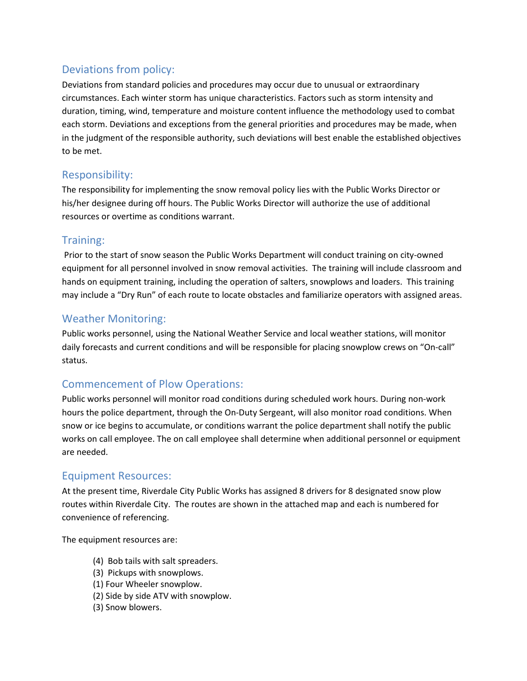## Deviations from policy:

Deviations from standard policies and procedures may occur due to unusual or extraordinary circumstances. Each winter storm has unique characteristics. Factors such as storm intensity and duration, timing, wind, temperature and moisture content influence the methodology used to combat each storm. Deviations and exceptions from the general priorities and procedures may be made, when in the judgment of the responsible authority, such deviations will best enable the established objectives to be met.

## Responsibility:

The responsibility for implementing the snow removal policy lies with the Public Works Director or his/her designee during off hours. The Public Works Director will authorize the use of additional resources or overtime as conditions warrant.

## Training:

 Prior to the start of snow season the Public Works Department will conduct training on city-owned equipment for all personnel involved in snow removal activities. The training will include classroom and hands on equipment training, including the operation of salters, snowplows and loaders. This training may include a "Dry Run" of each route to locate obstacles and familiarize operators with assigned areas.

## Weather Monitoring:

Public works personnel, using the National Weather Service and local weather stations, will monitor daily forecasts and current conditions and will be responsible for placing snowplow crews on "On-call" status.

## Commencement of Plow Operations:

Public works personnel will monitor road conditions during scheduled work hours. During non-work hours the police department, through the On-Duty Sergeant, will also monitor road conditions. When snow or ice begins to accumulate, or conditions warrant the police department shall notify the public works on call employee. The on call employee shall determine when additional personnel or equipment are needed.

## Equipment Resources:

At the present time, Riverdale City Public Works has assigned 8 drivers for 8 designated snow plow routes within Riverdale City. The routes are shown in the attached map and each is numbered for convenience of referencing.

The equipment resources are:

- (4) Bob tails with salt spreaders.
- (3) Pickups with snowplows.
- (1) Four Wheeler snowplow.
- (2) Side by side ATV with snowplow.
- (3) Snow blowers.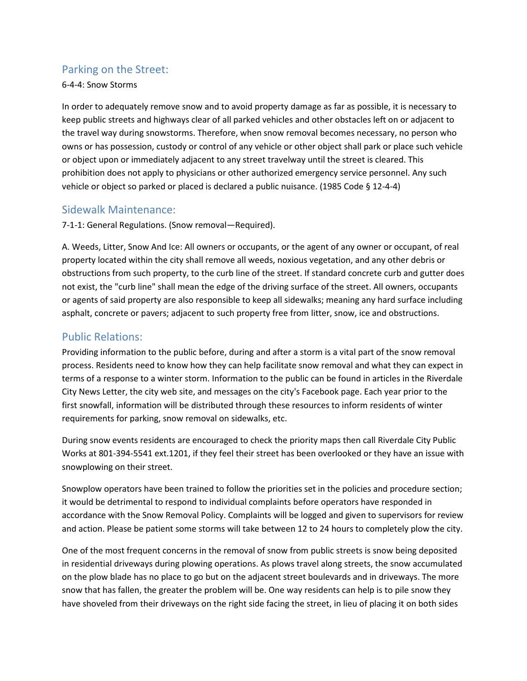## Parking on the Street:

#### 6-4-4: Snow Storms

In order to adequately remove snow and to avoid property damage as far as possible, it is necessary to keep public streets and highways clear of all parked vehicles and other obstacles left on or adjacent to the travel way during snowstorms. Therefore, when snow removal becomes necessary, no person who owns or has possession, custody or control of any vehicle or other object shall park or place such vehicle or object upon or immediately adjacent to any street travelway until the street is cleared. This prohibition does not apply to physicians or other authorized emergency service personnel. Any such vehicle or object so parked or placed is declared a public nuisance. (1985 Code § 12-4-4)

#### Sidewalk Maintenance:

7-1-1: General Regulations. (Snow removal—Required).

A. Weeds, Litter, Snow And Ice: All owners or occupants, or the agent of any owner or occupant, of real property located within the city shall remove all weeds, noxious vegetation, and any other debris or obstructions from such property, to the curb line of the street. If standard concrete curb and gutter does not exist, the "curb line" shall mean the edge of the driving surface of the street. All owners, occupants or agents of said property are also responsible to keep all sidewalks; meaning any hard surface including asphalt, concrete or pavers; adjacent to such property free from litter, snow, ice and obstructions.

## Public Relations:

Providing information to the public before, during and after a storm is a vital part of the snow removal process. Residents need to know how they can help facilitate snow removal and what they can expect in terms of a response to a winter storm. Information to the public can be found in articles in the Riverdale City News Letter, the city web site, and messages on the city's Facebook page. Each year prior to the first snowfall, information will be distributed through these resources to inform residents of winter requirements for parking, snow removal on sidewalks, etc.

During snow events residents are encouraged to check the priority maps then call Riverdale City Public Works at 801-394-5541 ext.1201, if they feel their street has been overlooked or they have an issue with snowplowing on their street.

Snowplow operators have been trained to follow the priorities set in the policies and procedure section; it would be detrimental to respond to individual complaints before operators have responded in accordance with the Snow Removal Policy. Complaints will be logged and given to supervisors for review and action. Please be patient some storms will take between 12 to 24 hours to completely plow the city.

One of the most frequent concerns in the removal of snow from public streets is snow being deposited in residential driveways during plowing operations. As plows travel along streets, the snow accumulated on the plow blade has no place to go but on the adjacent street boulevards and in driveways. The more snow that has fallen, the greater the problem will be. One way residents can help is to pile snow they have shoveled from their driveways on the right side facing the street, in lieu of placing it on both sides